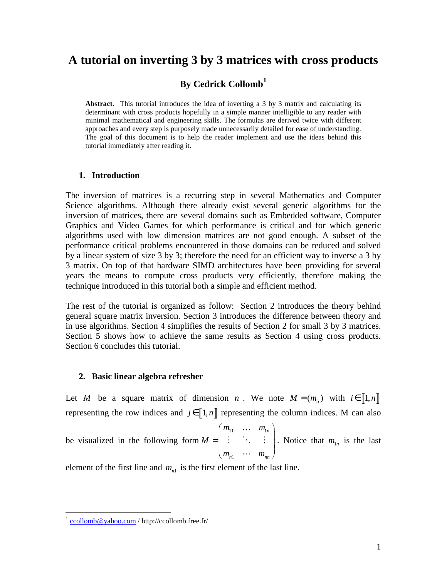# **A tutorial on inverting 3 by 3 matrices with cross products**

## **By Cedrick Collomb<sup>1</sup>**

**Abstract.** This tutorial introduces the idea of inverting a 3 by 3 matrix and calculating its determinant with cross products hopefully in a simple manner intelligible to any reader with minimal mathematical and engineering skills. The formulas are derived twice with different approaches and every step is purposely made unnecessarily detailed for ease of understanding. The goal of this document is to help the reader implement and use the ideas behind this tutorial immediately after reading it.

#### **1. Introduction**

The inversion of matrices is a recurring step in several Mathematics and Computer Science algorithms. Although there already exist several generic algorithms for the inversion of matrices, there are several domains such as Embedded software, Computer Graphics and Video Games for which performance is critical and for which generic algorithms used with low dimension matrices are not good enough. A subset of the performance critical problems encountered in those domains can be reduced and solved by a linear system of size 3 by 3; therefore the need for an efficient way to inverse a 3 by 3 matrix. On top of that hardware SIMD architectures have been providing for several years the means to compute cross products very efficiently, therefore making the technique introduced in this tutorial both a simple and efficient method.

The rest of the tutorial is organized as follow: Section 2 introduces the theory behind general square matrix inversion. Section 3 introduces the difference between theory and in use algorithms. Section 4 simplifies the results of Section 2 for small 3 by 3 matrices. Section 5 shows how to achieve the same results as Section 4 using cross products. Section 6 concludes this tutorial.

#### **2. Basic linear algebra refresher**

Let *M* be a square matrix of dimension *n*. We note  $M = (m_{ii})$  with  $i \in [1, n]$ representing the row indices and  $j \in [1, n]$  representing the column indices. M can also

be visualized in the following form 11  $\cdots$   $\cdots$ 1 *n*  $n_1$   $n_m$  $m_{11}$  ... *m M*  $m_{n1}$   $\cdots$  *m*  $=\left(\begin{array}{cccc} m_{11} & \ldots & m_{1n} \\ \vdots & \ddots & \vdots \end{array}\right)$  $\begin{pmatrix} m_{n1} & \cdots & m_{nn} \end{pmatrix}$ …  $\vdots$ … . Notice that  $m_{1n}$  is the last

element of the first line and  $m_{n1}$  is the first element of the last line.

<u>.</u>

<sup>&</sup>lt;sup>1</sup> ccollomb@yahoo.com / http://ccollomb.free.fr/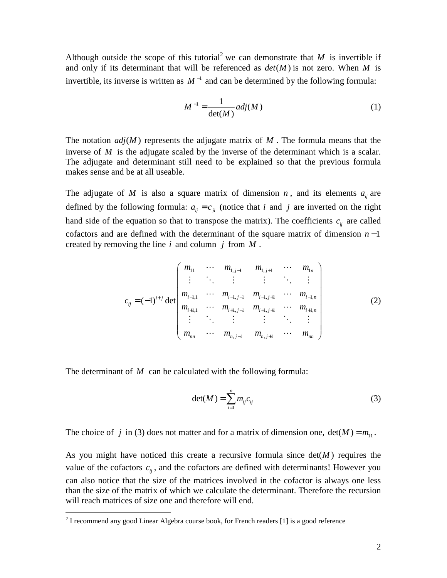Although outside the scope of this tutorial<sup>2</sup> we can demonstrate that *M* is invertible if and only if its determinant that will be referenced as  $det(M)$  is not zero. When M is invertible, its inverse is written as  $M^{-1}$  and can be determined by the following formula:

$$
M^{-1} = \frac{1}{\det(M)} adj(M)
$$
 (1)

The notation  $adj(M)$  represents the adjugate matrix of M. The formula means that the inverse of *M* is the adjugate scaled by the inverse of the determinant which is a scalar. The adjugate and determinant still need to be explained so that the previous formula makes sense and be at all useable.

The adjugate of *M* is also a square matrix of dimension *n*, and its elements  $a_{ij}$  are defined by the following formula:  $a_{ij} = c_{ji}$  (notice that *i* and *j* are inverted on the right hand side of the equation so that to transpose the matrix). The coefficients  $c_{ij}$  are called cofactors and are defined with the determinant of the square matrix of dimension *n* −1 created by removing the line *i* and column *j* from *M* .

$$
c_{ij} = (-1)^{i+j} \det \begin{pmatrix} m_{11} & \cdots & m_{1,j-1} & m_{1,j+1} & \cdots & m_{1n} \\ \vdots & \ddots & \vdots & \vdots & \ddots & \vdots \\ m_{i-1,1} & \cdots & m_{i-1,j-1} & m_{i-1,j+1} & \cdots & m_{i-1,n} \\ m_{i+1,1} & \cdots & m_{i+1,j-1} & m_{i+1,j+1} & \cdots & m_{i+1,n} \\ \vdots & \ddots & \vdots & \vdots & \ddots & \vdots \\ m_{nn} & \cdots & m_{n,j-1} & m_{n,j+1} & \cdots & m_{nn} \end{pmatrix}
$$
 (2)

The determinant of M can be calculated with the following formula:

$$
\det(M) = \sum_{i=1}^{n} m_{ij} c_{ij} \tag{3}
$$

The choice of *j* in (3) does not matter and for a matrix of dimension one,  $det(M) = m_1$ .

As you might have noticed this create a recursive formula since  $det(M)$  requires the value of the cofactors  $c_{ij}$ , and the cofactors are defined with determinants! However you can also notice that the size of the matrices involved in the cofactor is always one less than the size of the matrix of which we calculate the determinant. Therefore the recursion will reach matrices of size one and therefore will end.

 2 I recommend any good Linear Algebra course book, for French readers [1] is a good reference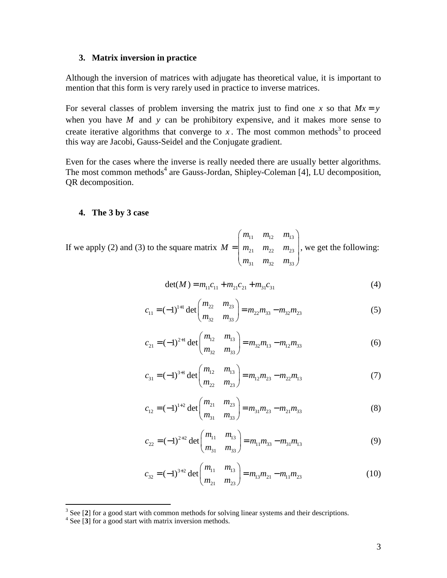#### **3. Matrix inversion in practice**

Although the inversion of matrices with adjugate has theoretical value, it is important to mention that this form is very rarely used in practice to inverse matrices.

For several classes of problem inversing the matrix just to find one *x* so that  $Mx = y$ when you have *M* and *y* can be prohibitory expensive, and it makes more sense to create iterative algorithms that converge to  $x$ . The most common methods<sup>3</sup> to proceed this way are Jacobi, Gauss-Seidel and the Conjugate gradient.

Even for the cases where the inverse is really needed there are usually better algorithms. The most common methods<sup>4</sup> are Gauss-Jordan, Shipley-Coleman [4], LU decomposition, QR decomposition.

#### **4. The 3 by 3 case**

If we apply (2) and (3) to the square matrix  $\frac{11}{12}$   $\frac{11}{13}$ 21  $\frac{11}{22}$   $\frac{12}{23}$ 31  $m_{32}$   $m_{33}$  $m_{11}$   $m_{12}$   $m$  $M = |m_{21} \, m_{22} \, m$  $m_{31}$   $m_{32}$  *m*  $=\left(\begin{matrix} m_{11} & m_{12} & m_{13} \\ m_{21} & m_{22} & m_{23} \end{matrix}\right).$  $\begin{pmatrix} m_{31} & m_{32} & m_{33} \end{pmatrix}$ , we get the following:

$$
det(M) = m_{11}c_{11} + m_{21}c_{21} + m_{31}c_{31}
$$
 (4)

$$
c_{11} = (-1)^{1+1} \det \begin{pmatrix} m_{22} & m_{23} \\ m_{32} & m_{33} \end{pmatrix} = m_{22} m_{33} - m_{32} m_{23}
$$
 (5)

$$
c_{21} = (-1)^{2+1} \det \begin{pmatrix} m_{12} & m_{13} \\ m_{32} & m_{33} \end{pmatrix} = m_{32} m_{13} - m_{12} m_{33}
$$
 (6)

$$
c_{31} = (-1)^{3+1} \det \begin{pmatrix} m_{12} & m_{13} \\ m_{22} & m_{23} \end{pmatrix} = m_{12}m_{23} - m_{22}m_{13}
$$
 (7)

$$
c_{12} = (-1)^{1+2} \det \begin{pmatrix} m_{21} & m_{23} \\ m_{31} & m_{33} \end{pmatrix} = m_{31}m_{23} - m_{21}m_{33}
$$
 (8)

$$
c_{22} = (-1)^{2+2} \det \begin{pmatrix} m_{11} & m_{13} \\ m_{31} & m_{33} \end{pmatrix} = m_{11}m_{33} - m_{31}m_{13}
$$
 (9)

$$
c_{32} = (-1)^{3+2} \det \begin{pmatrix} m_{11} & m_{13} \\ m_{21} & m_{23} \end{pmatrix} = m_{13}m_{21} - m_{11}m_{23}
$$
 (10)

<sup>&</sup>lt;sup>3</sup> See [2] for a good start with common methods for solving linear systems and their descriptions.

<sup>4</sup> See [**3**] for a good start with matrix inversion methods.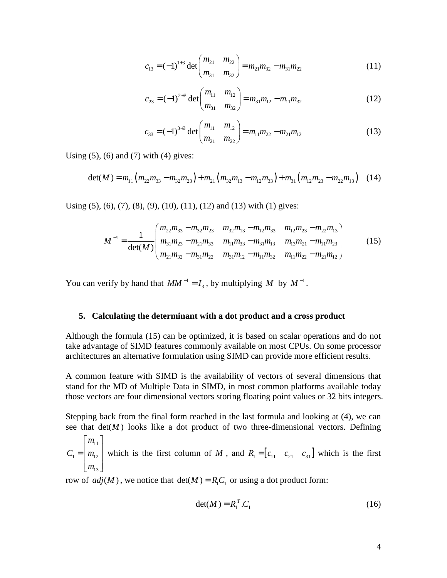$$
c_{13} = (-1)^{1+3} \det \begin{pmatrix} m_{21} & m_{22} \\ m_{31} & m_{32} \end{pmatrix} = m_{21}m_{32} - m_{31}m_{22}
$$
 (11)

$$
c_{23} = (-1)^{2+3} \det \begin{pmatrix} m_{11} & m_{12} \\ m_{31} & m_{32} \end{pmatrix} = m_{31}m_{12} - m_{11}m_{32}
$$
 (12)

$$
c_{33} = (-1)^{3+3} \det \begin{pmatrix} m_{11} & m_{12} \\ m_{21} & m_{22} \end{pmatrix} = m_{11}m_{22} - m_{21}m_{12}
$$
 (13)

Using  $(5)$ ,  $(6)$  and  $(7)$  with  $(4)$  gives:

$$
\det(M) = m_{11}(m_{22}m_{33} - m_{32}m_{23}) + m_{21}(m_{32}m_{13} - m_{12}m_{33}) + m_{31}(m_{12}m_{23} - m_{22}m_{13})
$$
 (14)

Using (5), (6), (7), (8), (9), (10), (11), (12) and (13) with (1) gives:

$$
M^{-1} = \frac{1}{\det(M)} \begin{pmatrix} m_{22}m_{33} - m_{32}m_{23} & m_{32}m_{13} - m_{12}m_{33} & m_{12}m_{23} - m_{22}m_{13} \\ m_{31}m_{23} - m_{21}m_{33} & m_{11}m_{33} - m_{31}m_{13} & m_{13}m_{21} - m_{11}m_{23} \\ m_{21}m_{32} - m_{31}m_{22} & m_{31}m_{12} - m_{11}m_{32} & m_{11}m_{22} - m_{21}m_{12} \end{pmatrix}
$$
 (15)

You can verify by hand that  $MM^{-1} = I_3$ , by multiplying M by  $M^{-1}$ .

#### **5. Calculating the determinant with a dot product and a cross product**

Although the formula (15) can be optimized, it is based on scalar operations and do not take advantage of SIMD features commonly available on most CPUs. On some processor architectures an alternative formulation using SIMD can provide more efficient results.

A common feature with SIMD is the availability of vectors of several dimensions that stand for the MD of Multiple Data in SIMD, in most common platforms available today those vectors are four dimensional vectors storing floating point values or 32 bits integers.

Stepping back from the final form reached in the last formula and looking at (4), we can see that  $det(M)$  looks like a dot product of two three-dimensional vectors. Defining

$$
C_1 = \begin{bmatrix} m_{11} \\ m_{12} \\ m_{13} \end{bmatrix}
$$
 which is the first column of  $M$ , and  $R_1 = \begin{bmatrix} c_{11} & c_{21} & c_{31} \end{bmatrix}$  which is the first

row of  $adj(M)$ , we notice that  $det(M) = R_1 C_1$  or using a dot product form:

$$
\det(M) = R_1^T.C_1 \tag{16}
$$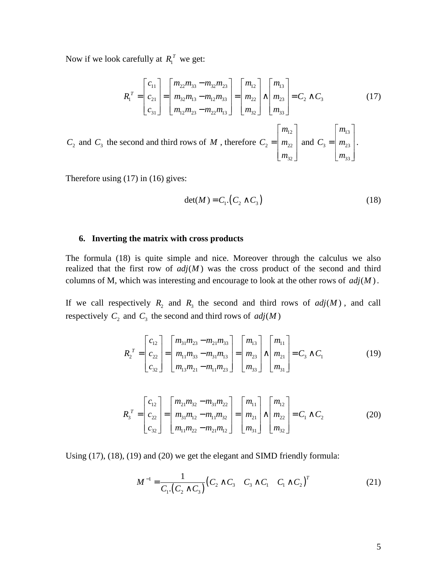Now if we look carefully at  $R_1^T$  we get:

$$
R_1^T = \begin{bmatrix} c_{11} \\ c_{21} \\ c_{31} \end{bmatrix} = \begin{bmatrix} m_{22}m_{33} - m_{32}m_{23} \\ m_{32}m_{13} - m_{12}m_{33} \\ m_{12}m_{23} - m_{22}m_{13} \end{bmatrix} = \begin{bmatrix} m_{12} \\ m_{22} \\ m_{32} \end{bmatrix} \wedge \begin{bmatrix} m_{13} \\ m_{23} \\ m_{33} \end{bmatrix} = C_2 \wedge C_3
$$
 (17)

 $C_2$  and  $C_3$  the second and third rows of *M*, therefore 12  $2 - 1$   $\frac{1}{22}$ 32 *m*  $C_2 = |m|$ *m*  $\lceil m_{12} \rceil$  $=\left\lfloor m_{22} \right\rfloor$  $\lfloor m_{32} \rfloor$  and 13  $3 - 1$   $\frac{123}{2}$ 33 *m*  $C_3 = |m$ *m*  $\lceil m_{13} \rceil$  $=\left\lfloor m_{23}\right\rfloor$  $\lfloor m_{33} \rfloor$ .

Therefore using (17) in (16) gives:

$$
\det(M) = C_1 \cdot (C_2 \wedge C_3) \tag{18}
$$

#### **6. Inverting the matrix with cross products**

The formula (18) is quite simple and nice. Moreover through the calculus we also realized that the first row of  $adj(M)$  was the cross product of the second and third columns of M, which was interesting and encourage to look at the other rows of  $adj(M)$ .

If we call respectively  $R_2$  and  $R_3$  the second and third rows of  $adj(M)$ , and call respectively  $C_2$  and  $C_3$  the second and third rows of  $adj(M)$ 

$$
R_2^T = \begin{bmatrix} c_{12} \\ c_{22} \\ c_{32} \end{bmatrix} = \begin{bmatrix} m_{31}m_{23} - m_{21}m_{33} \\ m_{11}m_{33} - m_{31}m_{13} \\ m_{13}m_{21} - m_{11}m_{23} \end{bmatrix} = \begin{bmatrix} m_{13} \\ m_{23} \\ m_{33} \end{bmatrix} \wedge \begin{bmatrix} m_{11} \\ m_{21} \\ m_{31} \end{bmatrix} = C_3 \wedge C_1
$$
 (19)

$$
R_3^T = \begin{bmatrix} c_{12} \\ c_{22} \\ c_{32} \end{bmatrix} = \begin{bmatrix} m_{21}m_{32} - m_{31}m_{22} \\ m_{31}m_{12} - m_{11}m_{32} \\ m_{11}m_{22} - m_{21}m_{12} \end{bmatrix} = \begin{bmatrix} m_{11} \\ m_{21} \\ m_{31} \end{bmatrix} \wedge \begin{bmatrix} m_{12} \\ m_{22} \\ m_{32} \end{bmatrix} = C_1 \wedge C_2
$$
 (20)

Using (17), (18), (19) and (20) we get the elegant and SIMD friendly formula:

$$
M^{-1} = \frac{1}{C_1 \cdot (C_2 \wedge C_3)} (C_2 \wedge C_3 \wedge C_1 \wedge C_1 \wedge C_2)^T
$$
 (21)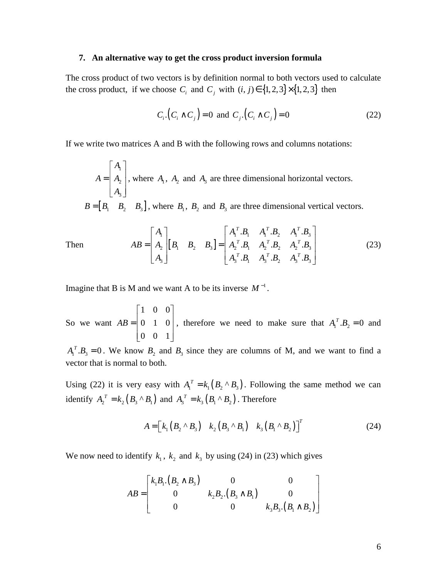#### **7. An alternative way to get the cross product inversion formula**

The cross product of two vectors is by definition normal to both vectors used to calculate the cross product, if we choose  $C_i$  and  $C_j$  with  $(i, j) \in \{1, 2, 3\} \times \{1, 2, 3\}$  then

$$
C_i \cdot (C_i \wedge C_j) = 0 \text{ and } C_j \cdot (C_i \wedge C_j) = 0 \tag{22}
$$

If we write two matrices A and B with the following rows and columns notations:

1 2 3 *A*  $A = |A|$ *A*  $\lceil A_1 \rceil$  $=\begin{bmatrix} A_2 \end{bmatrix}$  $\lfloor A_3 \rfloor$ , where  $A_1$ ,  $A_2$  and  $A_3$  are three dimensional horizontal vectors.

 $B = [B_1 \ B_2 \ B_3]$ , where  $B_1$ ,  $B_2$  and  $B_3$  are three dimensional vertical vectors.

Then  $AB = \begin{vmatrix} A_2 \end{vmatrix} \begin{bmatrix} B_1 & B_2 & B_3 \end{bmatrix}$  $\mathbf{1}$  |  $\mathbf{1}$   $\mathbf{1}$   $\mathbf{1}$   $\mathbf{1}$   $\mathbf{1}$   $\mathbf{1}$   $\mathbf{1}$   $\mathbf{1}$   $\mathbf{1}$   $\mathbf{1}$   $\mathbf{1}$   $\mathbf{1}$   $\mathbf{1}$   $\mathbf{1}$   $\mathbf{1}$   $\mathbf{1}$   $\mathbf{1}$   $\mathbf{1}$   $\mathbf{1}$   $\mathbf{1}$   $\mathbf{1}$   $\mathbf{1}$   $\mathbf{1}$   $\math$ 2  $\begin{bmatrix} \boldsymbol{v}_1 & \boldsymbol{v}_2 & \boldsymbol{v}_3 \end{bmatrix}$   $\begin{bmatrix} \boldsymbol{v}_1 & \boldsymbol{v}_2 & \boldsymbol{v}_1 & \boldsymbol{v}_2 & \boldsymbol{v}_2 & \boldsymbol{v}_3 \end{bmatrix}$  $3$   $\begin{bmatrix} 1 & 1_3 & \mathbf{0} & 1 \\ 1 & 3 & \mathbf{0} & 3 \end{bmatrix}$   $\mathbf{0}_1$   $\mathbf{1}_3$   $\mathbf{0}_2$   $\mathbf{1}_3$   $\mathbf{0}_3$  $B_1 \quad A_1^T.B_2 \quad A_1^T.$  $B_1$   $A_2^T.B_2$   $A_2^T$ .  $B_1$   $A_3^T.B_2$   $A_3^T$ .  $T$  **D**  $\Lambda$   $T$  **D**  $\Lambda$   $T$  $T$  **D**  $A$   $T$  **D**  $A$   $T$  $T$  **D**  $A$   $T$  **D**  $A$   $T$  $A_1$   $A_1^T.B_1 A_1^T.B_2 A_1^T.B_2$  $AB = |A_2||B_1 \quad B_2 \quad B_3| = |A_2^T \cdot B_1 \quad A_2^T \cdot B_2 \quad A_2^T \cdot B_3|$  $A_3$   $A_3^T.B_1 A_3^T.B_2 A_3^T.B_3$  $\begin{bmatrix} A_1 \end{bmatrix}$   $\begin{bmatrix} A_1^T.B_1 & A_1^T.B_2 & A_1^T.B_3 \end{bmatrix}$  $\begin{bmatrix} 1 \\ A \end{bmatrix} \begin{bmatrix} \mathbf{D} & \mathbf{D} & \mathbf{D} \end{bmatrix} = \begin{bmatrix} 1 & 1 & 1 & 2 & 1 & 3 \\ A^T \mathbf{D} & A^T \mathbf{D} & A^T \mathbf{D} \end{bmatrix}$  $=\begin{bmatrix} A_2 \end{bmatrix} \begin{bmatrix} B_1 & B_2 & B_3 \end{bmatrix} =$  $\begin{bmatrix} A_3 \end{bmatrix}$   $\begin{bmatrix} A_3^T.B_1 & A_3^T.B_2 & A_3^T.B_3 \end{bmatrix}$ (23)

Imagine that B is M and we want A to be its inverse  $M^{-1}$ .

So we want 1 0 0 0 1 0 0 0 1 *AB*  $\begin{bmatrix} 1 & 0 & 0 \end{bmatrix}$  $=\begin{vmatrix} 0 & 1 & 0 \end{vmatrix}$  $\begin{bmatrix} 0 & 0 & 1 \end{bmatrix}$ , therefore we need to make sure that  $A_1^T \cdot B_2 = 0$  and

 $A_1^T \cdot B_3 = 0$ . We know  $B_2$  and  $B_3$  since they are columns of M, and we want to find a vector that is normal to both.

Using (22) it is very easy with  $A_1^T = k_1 (B_2 \wedge B_3)$ . Following the same method we can identify  $A_2^T = k_2 (B_3 \wedge B_1)$  and  $A_3^T = k_3 (B_1 \wedge B_2)$ . Therefore

$$
A = \begin{bmatrix} k_1 (B_2 \wedge B_3) & k_2 (B_3 \wedge B_1) & k_3 (B_1 \wedge B_2) \end{bmatrix}^T
$$
 (24)

We now need to identify  $k_1$ ,  $k_2$  and  $k_3$  by using (24) in (23) which gives

$$
AB = \begin{bmatrix} k_1 B_1 (B_2 \wedge B_3) & 0 & 0 \\ 0 & k_2 B_2 (B_3 \wedge B_1) & 0 \\ 0 & 0 & k_3 B_3 (B_1 \wedge B_2) \end{bmatrix}
$$

6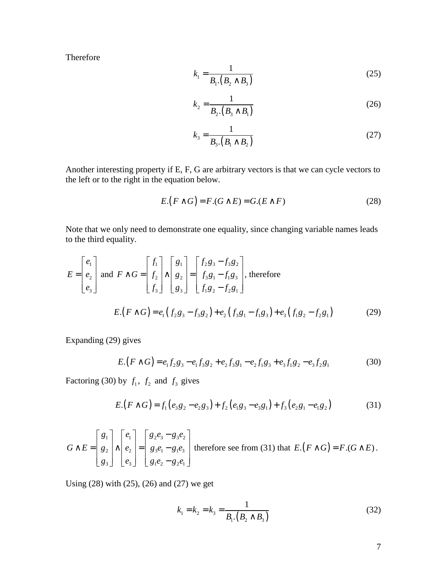Therefore

$$
k_1 = \frac{1}{B_1 \cdot (B_2 \wedge B_3)}\tag{25}
$$

$$
k_2 = \frac{1}{B_2 \cdot (B_3 \wedge B_1)}\tag{26}
$$

$$
k_3 = \frac{1}{B_3 \cdot (B_1 \wedge B_2)}\tag{27}
$$

Another interesting property if E, F, G are arbitrary vectors is that we can cycle vectors to the left or to the right in the equation below.

$$
E\left(F \wedge G\right) = F\left(G \wedge E\right) = G\left(E \wedge F\right) \tag{28}
$$

Note that we only need to demonstrate one equality, since changing variable names leads to the third equality.

$$
E = \begin{bmatrix} e_1 \\ e_2 \\ e_3 \end{bmatrix} \text{ and } F \wedge G = \begin{bmatrix} f_1 \\ f_2 \\ f_3 \end{bmatrix} \wedge \begin{bmatrix} g_1 \\ g_2 \\ g_3 \end{bmatrix} = \begin{bmatrix} f_2 g_3 - f_3 g_2 \\ f_3 g_1 - f_1 g_3 \\ f_1 g_2 - f_2 g_1 \end{bmatrix}, \text{ therefore}
$$
  

$$
E.(F \wedge G) = e_1 (f_2 g_3 - f_3 g_2) + e_2 (f_3 g_1 - f_1 g_3) + e_3 (f_1 g_2 - f_2 g_1)
$$
 (29)

Expanding (29) gives

$$
E.(F \wedge G) = e_1 f_2 g_3 - e_1 f_3 g_2 + e_2 f_3 g_1 - e_2 f_1 g_3 + e_3 f_1 g_2 - e_3 f_2 g_1
$$
 (30)

Factoring (30) by  $f_1$ ,  $f_2$  and  $f_3$  gives

$$
E.(F \wedge G) = f_1(e_3g_2 - e_2g_3) + f_2(e_1g_3 - e_3g_1) + f_3(e_2g_1 - e_1g_2)
$$
 (31)

$$
G \wedge E = \begin{bmatrix} g_1 \\ g_2 \\ g_3 \end{bmatrix} \wedge \begin{bmatrix} e_1 \\ e_2 \\ e_3 \end{bmatrix} = \begin{bmatrix} g_2 e_3 - g_3 e_2 \\ g_3 e_1 - g_1 e_3 \\ g_1 e_2 - g_2 e_1 \end{bmatrix}
$$
 therefore see from (31) that  $E \cdot (F \wedge G) = F \cdot (G \wedge E)$ .

Using (28) with (25), (26) and (27) we get

$$
k_1 = k_2 = k_3 = \frac{1}{B_1 \cdot (B_2 \wedge B_3)}
$$
(32)